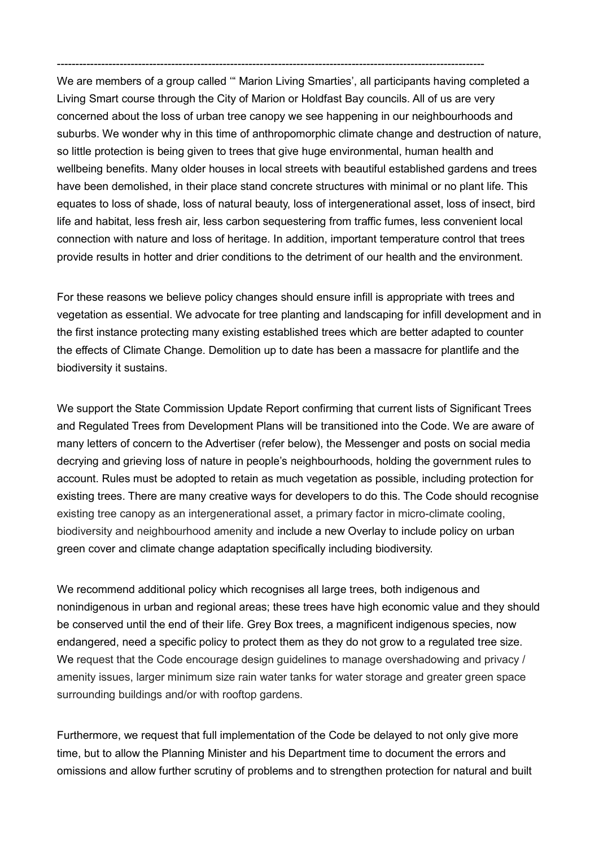We are members of a group called '" Marion Living Smarties', all participants having completed a Living Smart course through the City of Marion or Holdfast Bay councils. All of us are very concerned about the loss of urban tree canopy we see happening in our neighbourhoods and suburbs. We wonder why in this time of anthropomorphic climate change and destruction of nature, so little protection is being given to trees that give huge environmental, human health and wellbeing benefits. Many older houses in local streets with beautiful established gardens and trees have been demolished, in their place stand concrete structures with minimal or no plant life. This equates to loss of shade, loss of natural beauty, loss of intergenerational asset, loss of insect, bird life and habitat, less fresh air, less carbon sequestering from traffic fumes, less convenient local connection with nature and loss of heritage. In addition, important temperature control that trees provide results in hotter and drier conditions to the detriment of our health and the environment.

--------------------------------------------------------------------------------------------------------------------

For these reasons we believe policy changes should ensure infill is appropriate with trees and vegetation as essential. We advocate for tree planting and landscaping for infill development and in the first instance protecting many existing established trees which are better adapted to counter the effects of Climate Change. Demolition up to date has been a massacre for plantlife and the biodiversity it sustains.

We support the State Commission Update Report confirming that current lists of Significant Trees and Regulated Trees from Development Plans will be transitioned into the Code. We are aware of many letters of concern to the Advertiser (refer below), the Messenger and posts on social media decrying and grieving loss of nature in people's neighbourhoods, holding the government rules to account. Rules must be adopted to retain as much vegetation as possible, including protection for existing trees. There are many creative ways for developers to do this. The Code should recognise existing tree canopy as an intergenerational asset, a primary factor in micro-climate cooling, biodiversity and neighbourhood amenity and include a new Overlay to include policy on urban green cover and climate change adaptation specifically including biodiversity.

We recommend additional policy which recognises all large trees, both indigenous and nonindigenous in urban and regional areas; these trees have high economic value and they should be conserved until the end of their life. Grey Box trees, a magnificent indigenous species, now endangered, need a specific policy to protect them as they do not grow to a regulated tree size. We request that the Code encourage design guidelines to manage overshadowing and privacy / amenity issues, larger minimum size rain water tanks for water storage and greater green space surrounding buildings and/or with rooftop gardens.

Furthermore, we request that full implementation of the Code be delayed to not only give more time, but to allow the Planning Minister and his Department time to document the errors and omissions and allow further scrutiny of problems and to strengthen protection for natural and built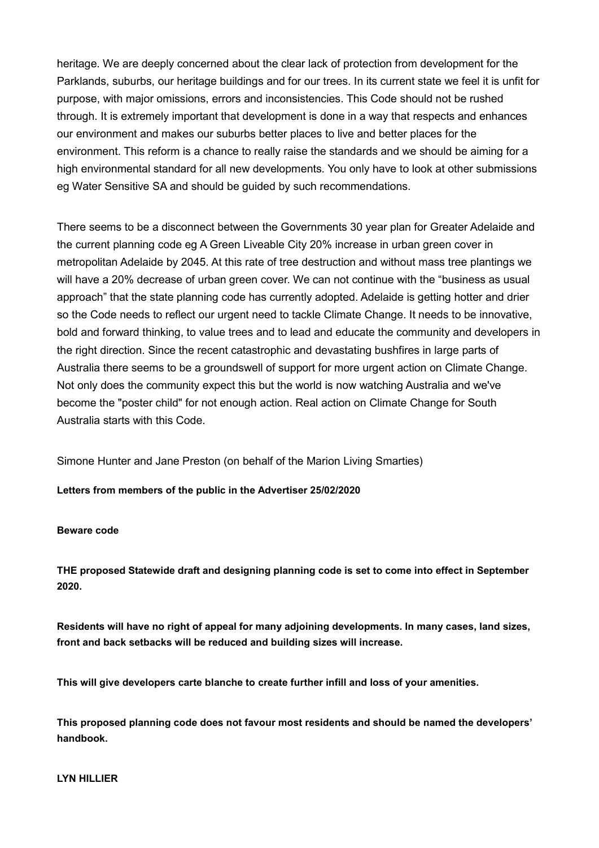heritage. We are deeply concerned about the clear lack of protection from development for the Parklands, suburbs, our heritage buildings and for our trees. In its current state we feel it is unfit for purpose, with major omissions, errors and inconsistencies. This Code should not be rushed through. It is extremely important that development is done in a way that respects and enhances our environment and makes our suburbs better places to live and better places for the environment. This reform is a chance to really raise the standards and we should be aiming for a high environmental standard for all new developments. You only have to look at other submissions eg Water Sensitive SA and should be guided by such recommendations.

There seems to be a disconnect between the Governments 30 year plan for Greater Adelaide and the current planning code eg A Green Liveable City 20% increase in urban green cover in metropolitan Adelaide by 2045. At this rate of tree destruction and without mass tree plantings we will have a 20% decrease of urban green cover. We can not continue with the "business as usual approach" that the state planning code has currently adopted. Adelaide is getting hotter and drier so the Code needs to reflect our urgent need to tackle Climate Change. It needs to be innovative, bold and forward thinking, to value trees and to lead and educate the community and developers in the right direction. Since the recent catastrophic and devastating bushfires in large parts of Australia there seems to be a groundswell of support for more urgent action on Climate Change. Not only does the community expect this but the world is now watching Australia and we've become the "poster child" for not enough action. Real action on Climate Change for South Australia starts with this Code.

Simone Hunter and Jane Preston (on behalf of the Marion Living Smarties)

**Letters from members of the public in the Advertiser 25/02/2020**

## **Beware code**

**THE proposed Statewide draft and designing planning code is set to come into effect in September 2020.**

**Residents will have no right of appeal for many adjoining developments. In many cases, land sizes, front and back setbacks will be reduced and building sizes will increase.**

**This will give developers carte blanche to create further infill and loss of your amenities.**

**This proposed planning code does not favour most residents and should be named the developers' handbook.**

## **LYN HILLIER**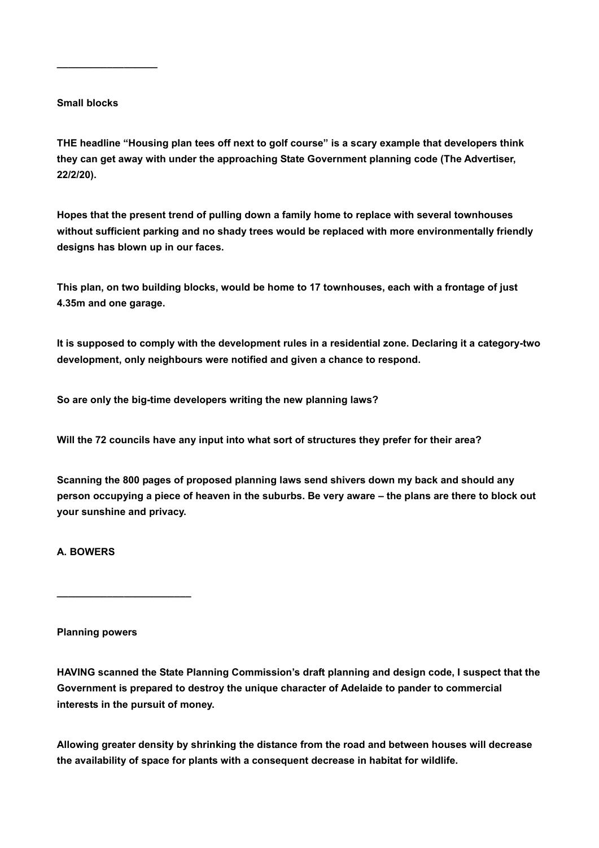## **Small blocks**

**\_\_\_\_\_\_\_\_\_\_\_\_\_\_\_\_\_\_**

**THE headline "Housing plan tees off next to golf course" is a scary example that developers think they can get away with under the approaching State Government planning code (The Advertiser, 22/2/20).**

**Hopes that the present trend of pulling down a family home to replace with several townhouses without sufficient parking and no shady trees would be replaced with more environmentally friendly designs has blown up in our faces.**

**This plan, on two building blocks, would be home to 17 townhouses, each with a frontage of just 4.35m and one garage.**

**It is supposed to comply with the development rules in a residential zone. Declaring it a category-two development, only neighbours were notified and given a chance to respond.**

**So are only the big-time developers writing the new planning laws?**

**Will the 72 councils have any input into what sort of structures they prefer for their area?**

**Scanning the 800 pages of proposed planning laws send shivers down my back and should any person occupying a piece of heaven in the suburbs. Be very aware – the plans are there to block out your sunshine and privacy.**

## **A. BOWERS**

**Planning powers**

**\_\_\_\_\_\_\_\_\_\_\_\_\_\_\_\_\_\_\_\_\_\_\_\_**

**HAVING scanned the State Planning Commission's draft planning and design code, I suspect that the Government is prepared to destroy the unique character of Adelaide to pander to commercial interests in the pursuit of money.**

**Allowing greater density by shrinking the distance from the road and between houses will decrease the availability of space for plants with a consequent decrease in habitat for wildlife.**